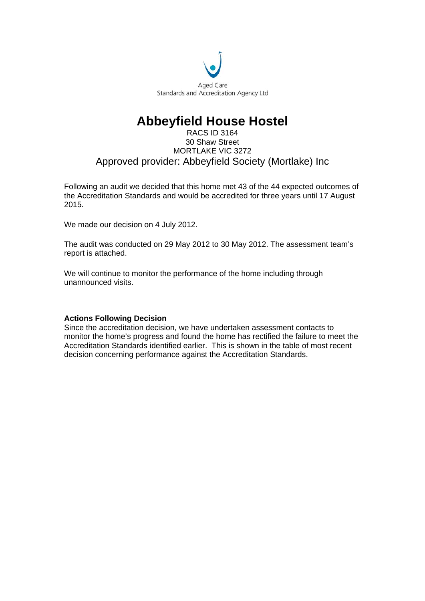

## **Abbeyfield House Hostel**

#### RACS ID 3164 30 Shaw Street MORTLAKE VIC 3272 Approved provider: Abbeyfield Society (Mortlake) Inc

Following an audit we decided that this home met 43 of the 44 expected outcomes of the Accreditation Standards and would be accredited for three years until 17 August 2015.

We made our decision on 4 July 2012.

The audit was conducted on 29 May 2012 to 30 May 2012. The assessment team's report is attached.

We will continue to monitor the performance of the home including through unannounced visits.

#### **Actions Following Decision**

Since the accreditation decision, we have undertaken assessment contacts to monitor the home's progress and found the home has rectified the failure to meet the Accreditation Standards identified earlier. This is shown in the table of most recent decision concerning performance against the Accreditation Standards.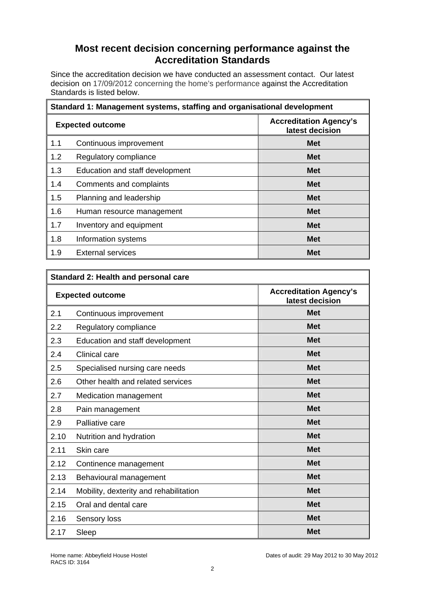## **Most recent decision concerning performance against the Accreditation Standards**

Since the accreditation decision we have conducted an assessment contact. Our latest decision on 17/09/2012 concerning the home's performance against the Accreditation Standards is listed below.

| Standard 1: Management systems, staffing and organisational development |                                 |                                                  |
|-------------------------------------------------------------------------|---------------------------------|--------------------------------------------------|
| <b>Expected outcome</b>                                                 |                                 | <b>Accreditation Agency's</b><br>latest decision |
| 1.1                                                                     | Continuous improvement          | <b>Met</b>                                       |
| 1.2                                                                     | Regulatory compliance           | <b>Met</b>                                       |
| 1.3                                                                     | Education and staff development | <b>Met</b>                                       |
| 1.4                                                                     | Comments and complaints         | <b>Met</b>                                       |
| 1.5                                                                     | Planning and leadership         | <b>Met</b>                                       |
| 1.6                                                                     | Human resource management       | <b>Met</b>                                       |
| 1.7                                                                     | Inventory and equipment         | <b>Met</b>                                       |
| 1.8                                                                     | Information systems             | <b>Met</b>                                       |
| 1.9                                                                     | <b>External services</b>        | <b>Met</b>                                       |

| <b>Standard 2: Health and personal care</b> |                                        |                                                  |
|---------------------------------------------|----------------------------------------|--------------------------------------------------|
| <b>Expected outcome</b>                     |                                        | <b>Accreditation Agency's</b><br>latest decision |
| 2.1                                         | Continuous improvement                 | <b>Met</b>                                       |
| 2.2                                         | Regulatory compliance                  | <b>Met</b>                                       |
| 2.3                                         | Education and staff development        | <b>Met</b>                                       |
| 2.4                                         | <b>Clinical care</b>                   | <b>Met</b>                                       |
| 2.5                                         | Specialised nursing care needs         | <b>Met</b>                                       |
| 2.6                                         | Other health and related services      | <b>Met</b>                                       |
| 2.7                                         | Medication management                  | <b>Met</b>                                       |
| 2.8                                         | Pain management                        | <b>Met</b>                                       |
| 2.9                                         | Palliative care                        | <b>Met</b>                                       |
| 2.10                                        | Nutrition and hydration                | <b>Met</b>                                       |
| 2.11                                        | Skin care                              | <b>Met</b>                                       |
| 2.12                                        | Continence management                  | <b>Met</b>                                       |
| 2.13                                        | Behavioural management                 | <b>Met</b>                                       |
| 2.14                                        | Mobility, dexterity and rehabilitation | <b>Met</b>                                       |
| 2.15                                        | Oral and dental care                   | <b>Met</b>                                       |
| 2.16                                        | Sensory loss                           | <b>Met</b>                                       |
| 2.17                                        | Sleep                                  | <b>Met</b>                                       |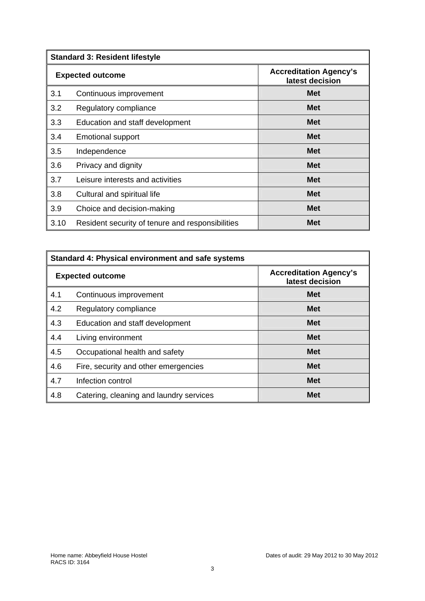|                         | <b>Standard 3: Resident lifestyle</b>            |                                                  |  |
|-------------------------|--------------------------------------------------|--------------------------------------------------|--|
| <b>Expected outcome</b> |                                                  | <b>Accreditation Agency's</b><br>latest decision |  |
| 3.1                     | Continuous improvement                           | <b>Met</b>                                       |  |
| 3.2                     | Regulatory compliance                            | <b>Met</b>                                       |  |
| 3.3                     | Education and staff development                  | <b>Met</b>                                       |  |
| 3.4                     | <b>Emotional support</b>                         | <b>Met</b>                                       |  |
| 3.5                     | Independence                                     | <b>Met</b>                                       |  |
| 3.6                     | Privacy and dignity                              | <b>Met</b>                                       |  |
| 3.7                     | Leisure interests and activities                 | <b>Met</b>                                       |  |
| 3.8                     | Cultural and spiritual life                      | <b>Met</b>                                       |  |
| 3.9                     | Choice and decision-making                       | <b>Met</b>                                       |  |
| 3.10                    | Resident security of tenure and responsibilities | <b>Met</b>                                       |  |

| Standard 4: Physical environment and safe systems |                                         |                                                  |
|---------------------------------------------------|-----------------------------------------|--------------------------------------------------|
|                                                   | <b>Expected outcome</b>                 | <b>Accreditation Agency's</b><br>latest decision |
| 4.1                                               | Continuous improvement                  | <b>Met</b>                                       |
| 4.2                                               | Regulatory compliance                   | <b>Met</b>                                       |
| 4.3                                               | Education and staff development         | <b>Met</b>                                       |
| 4.4                                               | Living environment                      | <b>Met</b>                                       |
| 4.5                                               | Occupational health and safety          | <b>Met</b>                                       |
| 4.6                                               | Fire, security and other emergencies    | <b>Met</b>                                       |
| 4.7                                               | Infection control                       | <b>Met</b>                                       |
| 4.8                                               | Catering, cleaning and laundry services | <b>Met</b>                                       |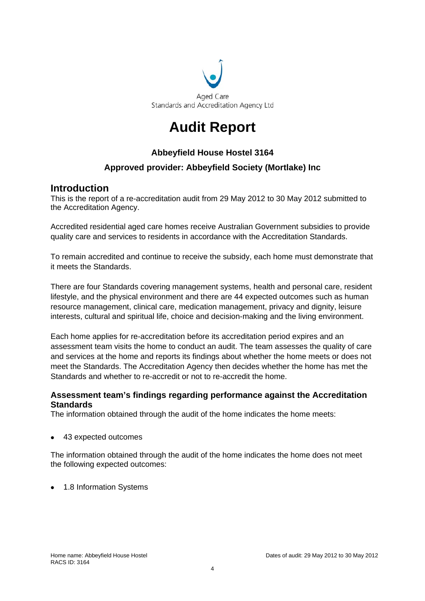

## **Audit Report**

## **Abbeyfield House Hostel 3164**

## **Approved provider: Abbeyfield Society (Mortlake) Inc**

## **Introduction**

This is the report of a re-accreditation audit from 29 May 2012 to 30 May 2012 submitted to the Accreditation Agency.

Accredited residential aged care homes receive Australian Government subsidies to provide quality care and services to residents in accordance with the Accreditation Standards.

To remain accredited and continue to receive the subsidy, each home must demonstrate that it meets the Standards.

There are four Standards covering management systems, health and personal care, resident lifestyle, and the physical environment and there are 44 expected outcomes such as human resource management, clinical care, medication management, privacy and dignity, leisure interests, cultural and spiritual life, choice and decision-making and the living environment.

Each home applies for re-accreditation before its accreditation period expires and an assessment team visits the home to conduct an audit. The team assesses the quality of care and services at the home and reports its findings about whether the home meets or does not meet the Standards. The Accreditation Agency then decides whether the home has met the Standards and whether to re-accredit or not to re-accredit the home.

## **Assessment team's findings regarding performance against the Accreditation Standards**

The information obtained through the audit of the home indicates the home meets:

43 expected outcomes

The information obtained through the audit of the home indicates the home does not meet the following expected outcomes:

1.8 Information Systems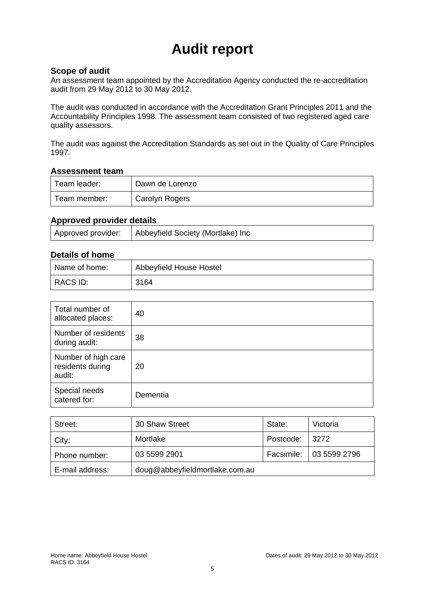# **Audit report**

#### **Scope of audit**

An assessment team appointed by the Accreditation Agency conducted the re-accreditation audit from 29 May 2012 to 30 May 2012.

The audit was conducted in accordance with the Accreditation Grant Principles 2011 and the Accountability Principles 1998. The assessment team consisted of two registered aged care quality assessors.

The audit was against the Accreditation Standards as set out in the Quality of Care Principles 1997.

#### **Assessment team**

| Team leader: | Dawn de Lorenzo |  |
|--------------|-----------------|--|
| Team member: | Carolyn Rogers  |  |

## **Approved provider details**

| Approved provider: | Abbeyfield Society (Mortlake) Inc |
|--------------------|-----------------------------------|
|                    |                                   |

## **Details of home**

| Name of home: | Abbeyfield House Hostel |  |
|---------------|-------------------------|--|
| RACS ID:      | 3164                    |  |

| Total number of<br>allocated places:              | 40       |
|---------------------------------------------------|----------|
| Number of residents<br>during audit:              | 38       |
| Number of high care<br>residents during<br>audit: | 20       |
| Special needs<br>catered for:                     | Dementia |

| Street:         | 30 Shaw Street                 | State:     | Victoria     |
|-----------------|--------------------------------|------------|--------------|
| City:           | Mortlake                       | Postcode:  | 3272         |
| Phone number:   | 03 5599 2901                   | Facsimile: | 03 5599 2796 |
| E-mail address: | doug@abbeyfieldmortlake.com.au |            |              |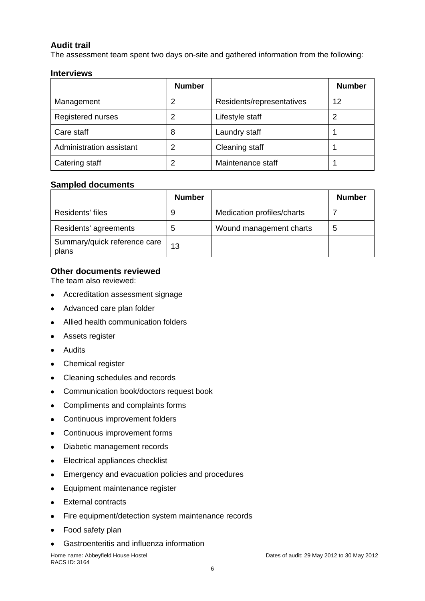## **Audit trail**

The assessment team spent two days on-site and gathered information from the following:

#### **Interviews**

|                          | <b>Number</b> |                           | <b>Number</b> |
|--------------------------|---------------|---------------------------|---------------|
| Management               | 2             | Residents/representatives | 12            |
| Registered nurses        | 2             | Lifestyle staff           |               |
| Care staff               | 8             | Laundry staff             |               |
| Administration assistant | 2             | Cleaning staff            |               |
| Catering staff           | 2             | Maintenance staff         |               |

#### **Sampled documents**

|                                       | <b>Number</b> |                            | <b>Number</b> |
|---------------------------------------|---------------|----------------------------|---------------|
| Residents' files                      | 9             | Medication profiles/charts |               |
| Residents' agreements                 | b             | Wound management charts    | 5             |
| Summary/quick reference care<br>plans | 13            |                            |               |

## **Other documents reviewed**

The team also reviewed:

- Accreditation assessment signage
- Advanced care plan folder
- Allied health communication folders
- Assets register
- Audits
- Chemical register
- Cleaning schedules and records
- Communication book/doctors request book
- Compliments and complaints forms
- Continuous improvement folders
- Continuous improvement forms
- Diabetic management records
- Electrical appliances checklist
- Emergency and evacuation policies and procedures
- Equipment maintenance register
- External contracts
- Fire equipment/detection system maintenance records
- Food safety plan
- Gastroenteritis and influenza information

RACS ID: 3164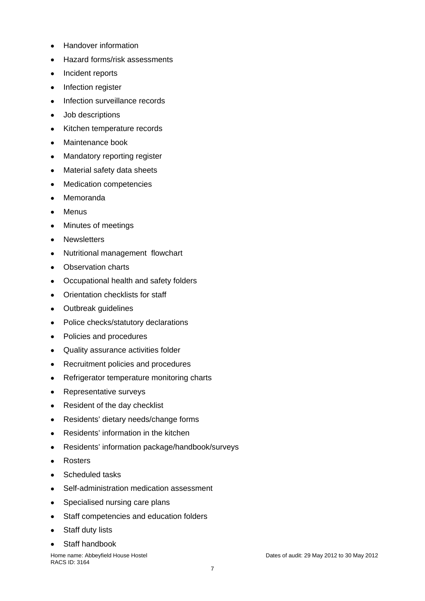- Handover information
- Hazard forms/risk assessments
- Incident reports
- Infection register
- Infection surveillance records
- Job descriptions
- Kitchen temperature records
- Maintenance book
- Mandatory reporting register
- Material safety data sheets
- Medication competencies
- Memoranda
- Menus
- Minutes of meetings
- Newsletters
- Nutritional management flowchart
- Observation charts
- Occupational health and safety folders
- Orientation checklists for staff
- Outbreak guidelines
- Police checks/statutory declarations
- Policies and procedures
- Quality assurance activities folder
- Recruitment policies and procedures
- Refrigerator temperature monitoring charts
- Representative surveys
- Resident of the day checklist
- Residents' dietary needs/change forms
- Residents' information in the kitchen
- Residents' information package/handbook/surveys
- Rosters
- Scheduled tasks
- Self-administration medication assessment
- Specialised nursing care plans
- Staff competencies and education folders
- Staff duty lists
- Staff handbook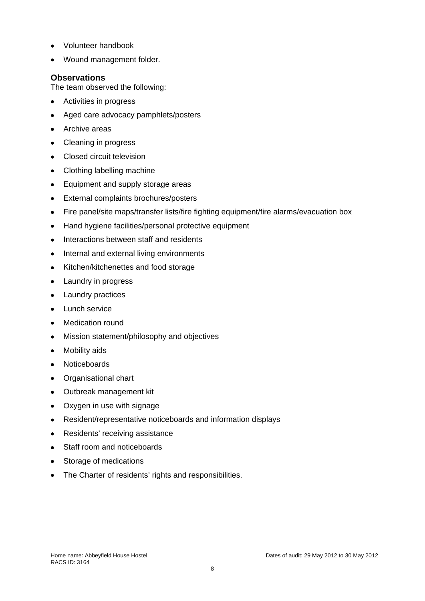- Volunteer handbook
- Wound management folder.

#### **Observations**

The team observed the following:

- Activities in progress
- Aged care advocacy pamphlets/posters
- Archive areas
- Cleaning in progress
- Closed circuit television
- Clothing labelling machine
- Equipment and supply storage areas
- External complaints brochures/posters
- Fire panel/site maps/transfer lists/fire fighting equipment/fire alarms/evacuation box
- Hand hygiene facilities/personal protective equipment
- Interactions between staff and residents
- Internal and external living environments
- Kitchen/kitchenettes and food storage
- Laundry in progress
- Laundry practices
- Lunch service
- Medication round
- Mission statement/philosophy and objectives
- Mobility aids
- Noticeboards
- Organisational chart
- Outbreak management kit
- Oxygen in use with signage
- Resident/representative noticeboards and information displays
- Residents' receiving assistance
- Staff room and noticeboards
- Storage of medications
- The Charter of residents' rights and responsibilities.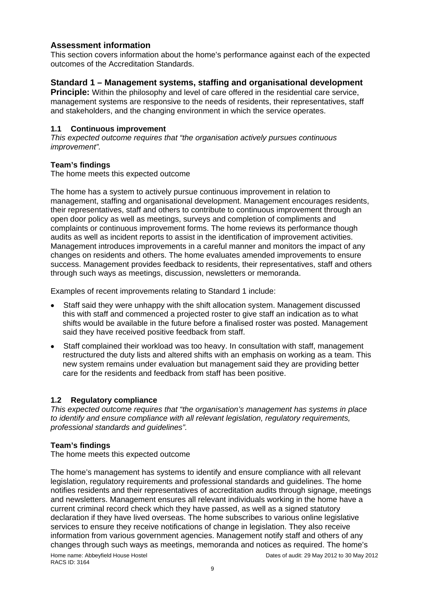## **Assessment information**

This section covers information about the home's performance against each of the expected outcomes of the Accreditation Standards.

## **Standard 1 – Management systems, staffing and organisational development**

**Principle:** Within the philosophy and level of care offered in the residential care service. management systems are responsive to the needs of residents, their representatives, staff and stakeholders, and the changing environment in which the service operates.

#### **1.1 Continuous improvement**

*This expected outcome requires that "the organisation actively pursues continuous improvement".* 

#### **Team's findings**

The home meets this expected outcome

The home has a system to actively pursue continuous improvement in relation to management, staffing and organisational development. Management encourages residents, their representatives, staff and others to contribute to continuous improvement through an open door policy as well as meetings, surveys and completion of compliments and complaints or continuous improvement forms. The home reviews its performance though audits as well as incident reports to assist in the identification of improvement activities. Management introduces improvements in a careful manner and monitors the impact of any changes on residents and others. The home evaluates amended improvements to ensure success. Management provides feedback to residents, their representatives, staff and others through such ways as meetings, discussion, newsletters or memoranda.

Examples of recent improvements relating to Standard 1 include:

- Staff said they were unhappy with the shift allocation system. Management discussed this with staff and commenced a projected roster to give staff an indication as to what shifts would be available in the future before a finalised roster was posted. Management said they have received positive feedback from staff.
- Staff complained their workload was too heavy. In consultation with staff, management restructured the duty lists and altered shifts with an emphasis on working as a team. This new system remains under evaluation but management said they are providing better care for the residents and feedback from staff has been positive.

## **1.2 Regulatory compliance**

*This expected outcome requires that "the organisation's management has systems in place to identify and ensure compliance with all relevant legislation, regulatory requirements, professional standards and guidelines".* 

## **Team's findings**

The home meets this expected outcome

The home's management has systems to identify and ensure compliance with all relevant legislation, regulatory requirements and professional standards and guidelines. The home notifies residents and their representatives of accreditation audits through signage, meetings and newsletters. Management ensures all relevant individuals working in the home have a current criminal record check which they have passed, as well as a signed statutory declaration if they have lived overseas. The home subscribes to various online legislative services to ensure they receive notifications of change in legislation. They also receive information from various government agencies. Management notify staff and others of any changes through such ways as meetings, memoranda and notices as required. The home's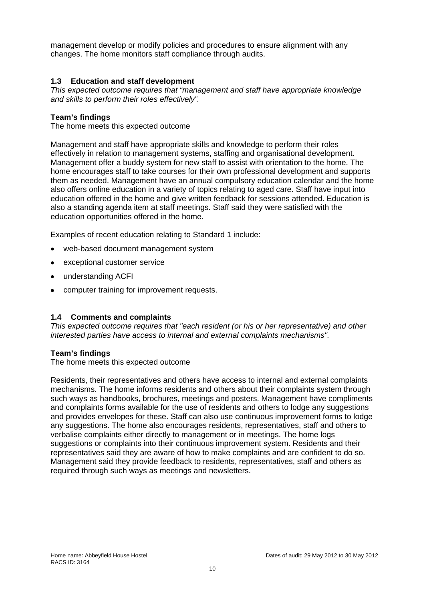management develop or modify policies and procedures to ensure alignment with any changes. The home monitors staff compliance through audits.

#### **1.3 Education and staff development**

*This expected outcome requires that "management and staff have appropriate knowledge and skills to perform their roles effectively".* 

#### **Team's findings**

The home meets this expected outcome

Management and staff have appropriate skills and knowledge to perform their roles effectively in relation to management systems, staffing and organisational development. Management offer a buddy system for new staff to assist with orientation to the home. The home encourages staff to take courses for their own professional development and supports them as needed. Management have an annual compulsory education calendar and the home also offers online education in a variety of topics relating to aged care. Staff have input into education offered in the home and give written feedback for sessions attended. Education is also a standing agenda item at staff meetings. Staff said they were satisfied with the education opportunities offered in the home.

Examples of recent education relating to Standard 1 include:

- web-based document management system
- exceptional customer service
- understanding ACFI
- computer training for improvement requests.

#### **1.4 Comments and complaints**

*This expected outcome requires that "each resident (or his or her representative) and other interested parties have access to internal and external complaints mechanisms".* 

#### **Team's findings**

The home meets this expected outcome

Residents, their representatives and others have access to internal and external complaints mechanisms. The home informs residents and others about their complaints system through such ways as handbooks, brochures, meetings and posters. Management have compliments and complaints forms available for the use of residents and others to lodge any suggestions and provides envelopes for these. Staff can also use continuous improvement forms to lodge any suggestions. The home also encourages residents, representatives, staff and others to verbalise complaints either directly to management or in meetings. The home logs suggestions or complaints into their continuous improvement system. Residents and their representatives said they are aware of how to make complaints and are confident to do so. Management said they provide feedback to residents, representatives, staff and others as required through such ways as meetings and newsletters.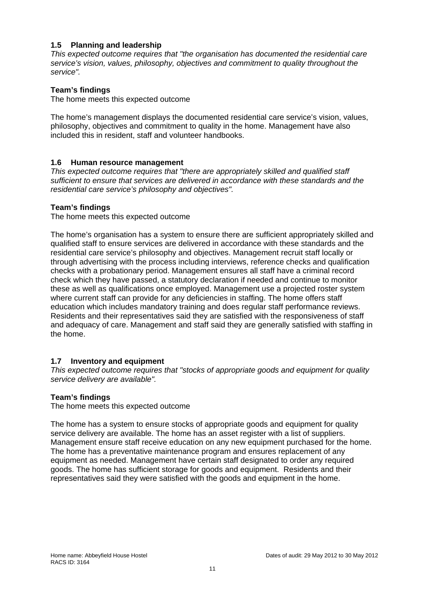### **1.5 Planning and leadership**

*This expected outcome requires that "the organisation has documented the residential care service's vision, values, philosophy, objectives and commitment to quality throughout the service".* 

#### **Team's findings**

The home meets this expected outcome

The home's management displays the documented residential care service's vision, values, philosophy, objectives and commitment to quality in the home. Management have also included this in resident, staff and volunteer handbooks.

#### **1.6 Human resource management**

*This expected outcome requires that "there are appropriately skilled and qualified staff sufficient to ensure that services are delivered in accordance with these standards and the residential care service's philosophy and objectives".* 

#### **Team's findings**

The home meets this expected outcome

The home's organisation has a system to ensure there are sufficient appropriately skilled and qualified staff to ensure services are delivered in accordance with these standards and the residential care service's philosophy and objectives. Management recruit staff locally or through advertising with the process including interviews, reference checks and qualification checks with a probationary period. Management ensures all staff have a criminal record check which they have passed, a statutory declaration if needed and continue to monitor these as well as qualifications once employed. Management use a projected roster system where current staff can provide for any deficiencies in staffing. The home offers staff education which includes mandatory training and does regular staff performance reviews. Residents and their representatives said they are satisfied with the responsiveness of staff and adequacy of care. Management and staff said they are generally satisfied with staffing in the home.

#### **1.7 Inventory and equipment**

*This expected outcome requires that "stocks of appropriate goods and equipment for quality service delivery are available".* 

#### **Team's findings**

The home meets this expected outcome

The home has a system to ensure stocks of appropriate goods and equipment for quality service delivery are available. The home has an asset register with a list of suppliers. Management ensure staff receive education on any new equipment purchased for the home. The home has a preventative maintenance program and ensures replacement of any equipment as needed. Management have certain staff designated to order any required goods. The home has sufficient storage for goods and equipment. Residents and their representatives said they were satisfied with the goods and equipment in the home.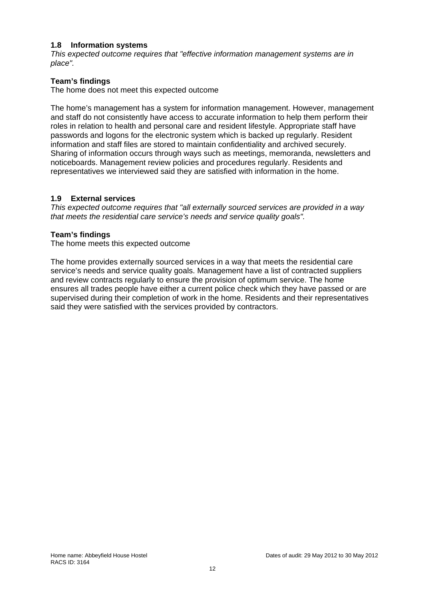#### **1.8 Information systems**

*This expected outcome requires that "effective information management systems are in place".* 

#### **Team's findings**

The home does not meet this expected outcome

The home's management has a system for information management. However, management and staff do not consistently have access to accurate information to help them perform their roles in relation to health and personal care and resident lifestyle. Appropriate staff have passwords and logons for the electronic system which is backed up regularly. Resident information and staff files are stored to maintain confidentiality and archived securely. Sharing of information occurs through ways such as meetings, memoranda, newsletters and noticeboards. Management review policies and procedures regularly. Residents and representatives we interviewed said they are satisfied with information in the home.

#### **1.9 External services**

*This expected outcome requires that "all externally sourced services are provided in a way that meets the residential care service's needs and service quality goals".* 

#### **Team's findings**

The home meets this expected outcome

The home provides externally sourced services in a way that meets the residential care service's needs and service quality goals. Management have a list of contracted suppliers and review contracts regularly to ensure the provision of optimum service. The home ensures all trades people have either a current police check which they have passed or are supervised during their completion of work in the home. Residents and their representatives said they were satisfied with the services provided by contractors.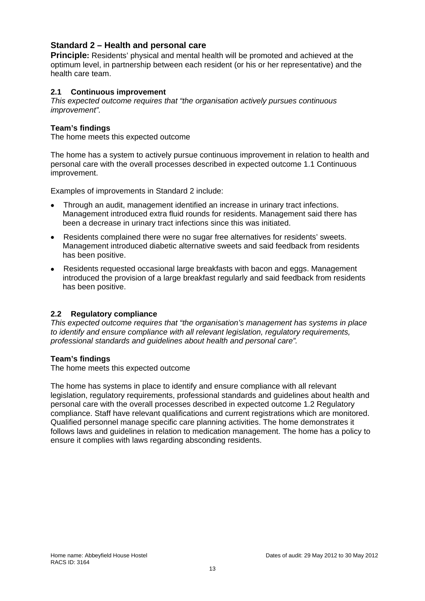## **Standard 2 – Health and personal care**

**Principle:** Residents' physical and mental health will be promoted and achieved at the optimum level, in partnership between each resident (or his or her representative) and the health care team.

#### **2.1 Continuous improvement**

*This expected outcome requires that "the organisation actively pursues continuous improvement".* 

#### **Team's findings**

The home meets this expected outcome

The home has a system to actively pursue continuous improvement in relation to health and personal care with the overall processes described in expected outcome 1.1 Continuous improvement.

Examples of improvements in Standard 2 include:

- Through an audit, management identified an increase in urinary tract infections. Management introduced extra fluid rounds for residents. Management said there has been a decrease in urinary tract infections since this was initiated.
- Residents complained there were no sugar free alternatives for residents' sweets. Management introduced diabetic alternative sweets and said feedback from residents has been positive.
- Residents requested occasional large breakfasts with bacon and eggs. Management introduced the provision of a large breakfast regularly and said feedback from residents has been positive.

#### **2.2 Regulatory compliance**

*This expected outcome requires that "the organisation's management has systems in place to identify and ensure compliance with all relevant legislation, regulatory requirements, professional standards and guidelines about health and personal care".* 

#### **Team's findings**

The home meets this expected outcome

The home has systems in place to identify and ensure compliance with all relevant legislation, regulatory requirements, professional standards and guidelines about health and personal care with the overall processes described in expected outcome 1.2 Regulatory compliance. Staff have relevant qualifications and current registrations which are monitored. Qualified personnel manage specific care planning activities. The home demonstrates it follows laws and guidelines in relation to medication management. The home has a policy to ensure it complies with laws regarding absconding residents.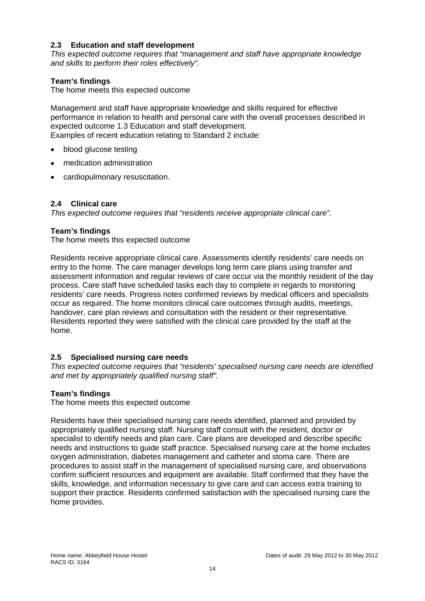#### **2.3 Education and staff development**

*This expected outcome requires that "management and staff have appropriate knowledge and skills to perform their roles effectively".* 

#### **Team's findings**

The home meets this expected outcome

Management and staff have appropriate knowledge and skills required for effective performance in relation to health and personal care with the overall processes described in expected outcome 1.3 Education and staff development. Examples of recent education relating to Standard 2 include:

- blood glucose testing
- medication administration
- cardiopulmonary resuscitation.

## **2.4 Clinical care**

*This expected outcome requires that "residents receive appropriate clinical care".* 

#### **Team's findings**

The home meets this expected outcome

Residents receive appropriate clinical care. Assessments identify residents' care needs on entry to the home. The care manager develops long term care plans using transfer and assessment information and regular reviews of care occur via the monthly resident of the day process. Care staff have scheduled tasks each day to complete in regards to monitoring residents' care needs. Progress notes confirmed reviews by medical officers and specialists occur as required. The home monitors clinical care outcomes through audits, meetings, handover, care plan reviews and consultation with the resident or their representative. Residents reported they were satisfied with the clinical care provided by the staff at the home.

#### **2.5 Specialised nursing care needs**

*This expected outcome requires that "residents' specialised nursing care needs are identified and met by appropriately qualified nursing staff".* 

#### **Team's findings**

The home meets this expected outcome

Residents have their specialised nursing care needs identified, planned and provided by appropriately qualified nursing staff. Nursing staff consult with the resident, doctor or specialist to identify needs and plan care. Care plans are developed and describe specific needs and instructions to guide staff practice. Specialised nursing care at the home includes oxygen administration, diabetes management and catheter and stoma care. There are procedures to assist staff in the management of specialised nursing care, and observations confirm sufficient resources and equipment are available. Staff confirmed that they have the skills, knowledge, and information necessary to give care and can access extra training to support their practice. Residents confirmed satisfaction with the specialised nursing care the home provides.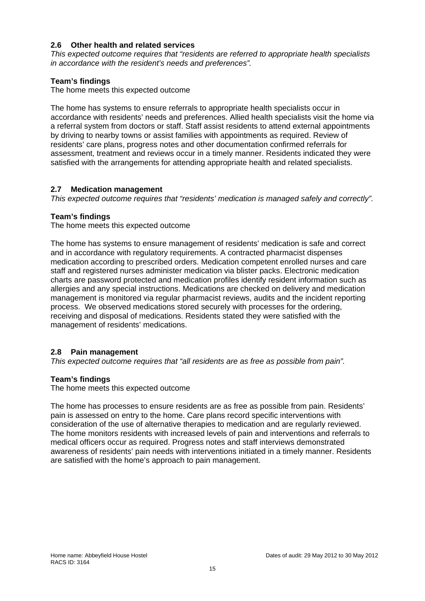#### **2.6 Other health and related services**

*This expected outcome requires that "residents are referred to appropriate health specialists in accordance with the resident's needs and preferences".* 

### **Team's findings**

The home meets this expected outcome

The home has systems to ensure referrals to appropriate health specialists occur in accordance with residents' needs and preferences. Allied health specialists visit the home via a referral system from doctors or staff. Staff assist residents to attend external appointments by driving to nearby towns or assist families with appointments as required. Review of residents' care plans, progress notes and other documentation confirmed referrals for assessment, treatment and reviews occur in a timely manner. Residents indicated they were satisfied with the arrangements for attending appropriate health and related specialists.

#### **2.7 Medication management**

*This expected outcome requires that "residents' medication is managed safely and correctly".* 

#### **Team's findings**

The home meets this expected outcome

The home has systems to ensure management of residents' medication is safe and correct and in accordance with regulatory requirements. A contracted pharmacist dispenses medication according to prescribed orders. Medication competent enrolled nurses and care staff and registered nurses administer medication via blister packs. Electronic medication charts are password protected and medication profiles identify resident information such as allergies and any special instructions. Medications are checked on delivery and medication management is monitored via regular pharmacist reviews, audits and the incident reporting process. We observed medications stored securely with processes for the ordering, receiving and disposal of medications. Residents stated they were satisfied with the management of residents' medications.

## **2.8 Pain management**

*This expected outcome requires that "all residents are as free as possible from pain".* 

#### **Team's findings**

The home meets this expected outcome

The home has processes to ensure residents are as free as possible from pain. Residents' pain is assessed on entry to the home. Care plans record specific interventions with consideration of the use of alternative therapies to medication and are regularly reviewed. The home monitors residents with increased levels of pain and interventions and referrals to medical officers occur as required. Progress notes and staff interviews demonstrated awareness of residents' pain needs with interventions initiated in a timely manner. Residents are satisfied with the home's approach to pain management.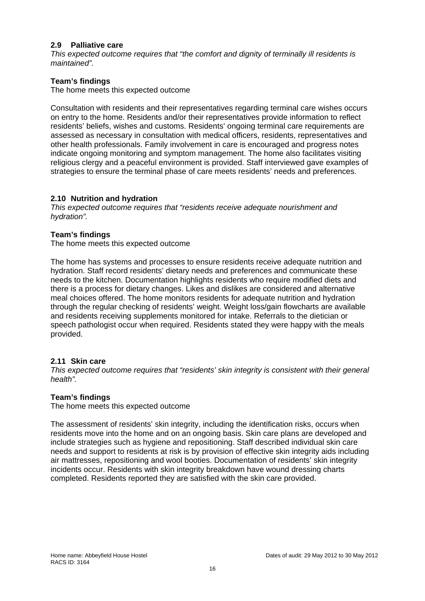#### **2.9 Palliative care**

*This expected outcome requires that "the comfort and dignity of terminally ill residents is maintained".* 

#### **Team's findings**

The home meets this expected outcome

Consultation with residents and their representatives regarding terminal care wishes occurs on entry to the home. Residents and/or their representatives provide information to reflect residents' beliefs, wishes and customs. Residents' ongoing terminal care requirements are assessed as necessary in consultation with medical officers, residents, representatives and other health professionals. Family involvement in care is encouraged and progress notes indicate ongoing monitoring and symptom management. The home also facilitates visiting religious clergy and a peaceful environment is provided. Staff interviewed gave examples of strategies to ensure the terminal phase of care meets residents' needs and preferences.

#### **2.10 Nutrition and hydration**

*This expected outcome requires that "residents receive adequate nourishment and hydration".* 

#### **Team's findings**

The home meets this expected outcome

The home has systems and processes to ensure residents receive adequate nutrition and hydration. Staff record residents' dietary needs and preferences and communicate these needs to the kitchen. Documentation highlights residents who require modified diets and there is a process for dietary changes. Likes and dislikes are considered and alternative meal choices offered. The home monitors residents for adequate nutrition and hydration through the regular checking of residents' weight. Weight loss/gain flowcharts are available and residents receiving supplements monitored for intake. Referrals to the dietician or speech pathologist occur when required. Residents stated they were happy with the meals provided.

#### **2.11 Skin care**

*This expected outcome requires that "residents' skin integrity is consistent with their general health".* 

#### **Team's findings**

The home meets this expected outcome

The assessment of residents' skin integrity, including the identification risks, occurs when residents move into the home and on an ongoing basis. Skin care plans are developed and include strategies such as hygiene and repositioning. Staff described individual skin care needs and support to residents at risk is by provision of effective skin integrity aids including air mattresses, repositioning and wool booties. Documentation of residents' skin integrity incidents occur. Residents with skin integrity breakdown have wound dressing charts completed. Residents reported they are satisfied with the skin care provided.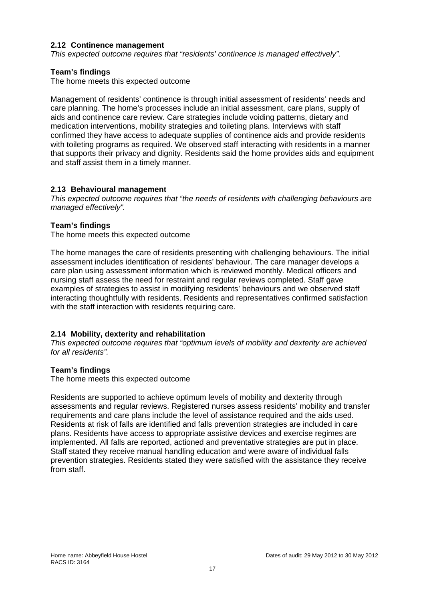#### **2.12 Continence management**

*This expected outcome requires that "residents' continence is managed effectively".* 

#### **Team's findings**

The home meets this expected outcome

Management of residents' continence is through initial assessment of residents' needs and care planning. The home's processes include an initial assessment, care plans, supply of aids and continence care review. Care strategies include voiding patterns, dietary and medication interventions, mobility strategies and toileting plans. Interviews with staff confirmed they have access to adequate supplies of continence aids and provide residents with toileting programs as required. We observed staff interacting with residents in a manner that supports their privacy and dignity. Residents said the home provides aids and equipment and staff assist them in a timely manner.

#### **2.13 Behavioural management**

*This expected outcome requires that "the needs of residents with challenging behaviours are managed effectively".* 

#### **Team's findings**

The home meets this expected outcome

The home manages the care of residents presenting with challenging behaviours. The initial assessment includes identification of residents' behaviour. The care manager develops a care plan using assessment information which is reviewed monthly. Medical officers and nursing staff assess the need for restraint and regular reviews completed. Staff gave examples of strategies to assist in modifying residents' behaviours and we observed staff interacting thoughtfully with residents. Residents and representatives confirmed satisfaction with the staff interaction with residents requiring care.

#### **2.14 Mobility, dexterity and rehabilitation**

*This expected outcome requires that "optimum levels of mobility and dexterity are achieved for all residents".* 

#### **Team's findings**

The home meets this expected outcome

Residents are supported to achieve optimum levels of mobility and dexterity through assessments and regular reviews. Registered nurses assess residents' mobility and transfer requirements and care plans include the level of assistance required and the aids used. Residents at risk of falls are identified and falls prevention strategies are included in care plans. Residents have access to appropriate assistive devices and exercise regimes are implemented. All falls are reported, actioned and preventative strategies are put in place. Staff stated they receive manual handling education and were aware of individual falls prevention strategies. Residents stated they were satisfied with the assistance they receive from staff.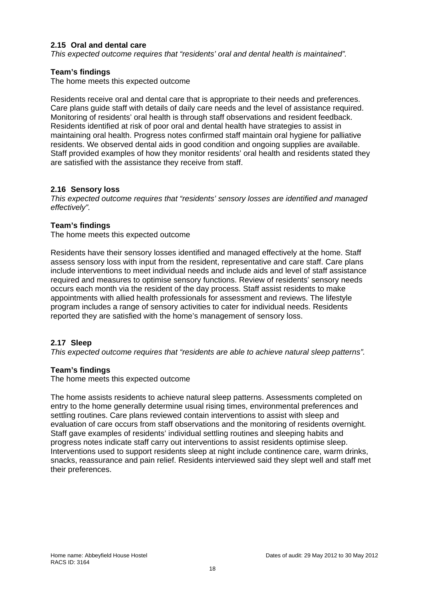#### **2.15 Oral and dental care**

*This expected outcome requires that "residents' oral and dental health is maintained".* 

#### **Team's findings**

The home meets this expected outcome

Residents receive oral and dental care that is appropriate to their needs and preferences. Care plans guide staff with details of daily care needs and the level of assistance required. Monitoring of residents' oral health is through staff observations and resident feedback. Residents identified at risk of poor oral and dental health have strategies to assist in maintaining oral health. Progress notes confirmed staff maintain oral hygiene for palliative residents. We observed dental aids in good condition and ongoing supplies are available. Staff provided examples of how they monitor residents' oral health and residents stated they are satisfied with the assistance they receive from staff.

#### **2.16 Sensory loss**

*This expected outcome requires that "residents' sensory losses are identified and managed effectively".* 

#### **Team's findings**

The home meets this expected outcome

Residents have their sensory losses identified and managed effectively at the home. Staff assess sensory loss with input from the resident, representative and care staff. Care plans include interventions to meet individual needs and include aids and level of staff assistance required and measures to optimise sensory functions. Review of residents' sensory needs occurs each month via the resident of the day process. Staff assist residents to make appointments with allied health professionals for assessment and reviews. The lifestyle program includes a range of sensory activities to cater for individual needs. Residents reported they are satisfied with the home's management of sensory loss.

#### **2.17 Sleep**

*This expected outcome requires that "residents are able to achieve natural sleep patterns".* 

#### **Team's findings**

The home meets this expected outcome

The home assists residents to achieve natural sleep patterns. Assessments completed on entry to the home generally determine usual rising times, environmental preferences and settling routines. Care plans reviewed contain interventions to assist with sleep and evaluation of care occurs from staff observations and the monitoring of residents overnight. Staff gave examples of residents' individual settling routines and sleeping habits and progress notes indicate staff carry out interventions to assist residents optimise sleep. Interventions used to support residents sleep at night include continence care, warm drinks, snacks, reassurance and pain relief. Residents interviewed said they slept well and staff met their preferences.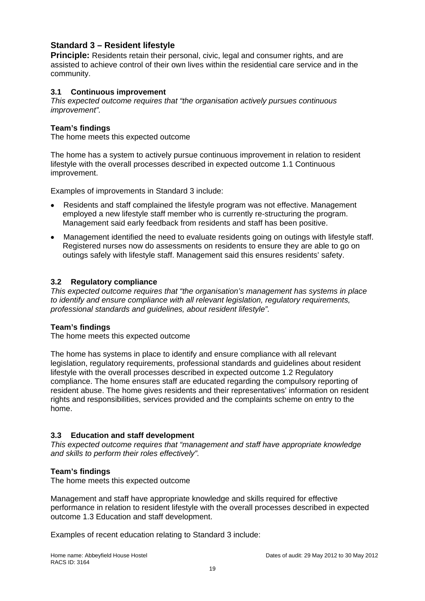## **Standard 3 – Resident lifestyle**

**Principle:** Residents retain their personal, civic, legal and consumer rights, and are assisted to achieve control of their own lives within the residential care service and in the community.

#### **3.1 Continuous improvement**

*This expected outcome requires that "the organisation actively pursues continuous improvement".* 

#### **Team's findings**

The home meets this expected outcome

The home has a system to actively pursue continuous improvement in relation to resident lifestyle with the overall processes described in expected outcome 1.1 Continuous improvement.

Examples of improvements in Standard 3 include:

- Residents and staff complained the lifestyle program was not effective. Management employed a new lifestyle staff member who is currently re-structuring the program. Management said early feedback from residents and staff has been positive.
- Management identified the need to evaluate residents going on outings with lifestyle staff. Registered nurses now do assessments on residents to ensure they are able to go on outings safely with lifestyle staff. Management said this ensures residents' safety.

#### **3.2 Regulatory compliance**

*This expected outcome requires that "the organisation's management has systems in place to identify and ensure compliance with all relevant legislation, regulatory requirements, professional standards and guidelines, about resident lifestyle".* 

#### **Team's findings**

The home meets this expected outcome

The home has systems in place to identify and ensure compliance with all relevant legislation, regulatory requirements, professional standards and guidelines about resident lifestyle with the overall processes described in expected outcome 1.2 Regulatory compliance. The home ensures staff are educated regarding the compulsory reporting of resident abuse. The home gives residents and their representatives' information on resident rights and responsibilities, services provided and the complaints scheme on entry to the home.

## **3.3 Education and staff development**

*This expected outcome requires that "management and staff have appropriate knowledge and skills to perform their roles effectively".* 

#### **Team's findings**

The home meets this expected outcome

Management and staff have appropriate knowledge and skills required for effective performance in relation to resident lifestyle with the overall processes described in expected outcome 1.3 Education and staff development.

Examples of recent education relating to Standard 3 include: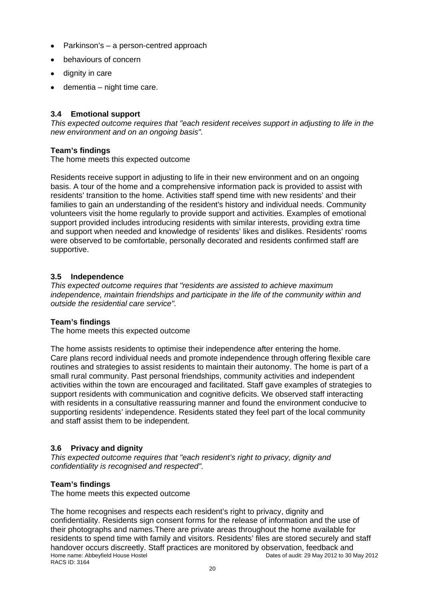- Parkinson's a person-centred approach
- behaviours of concern
- dignity in care
- $\bullet$  dementia night time care.

#### **3.4 Emotional support**

*This expected outcome requires that "each resident receives support in adjusting to life in the new environment and on an ongoing basis".* 

#### **Team's findings**

The home meets this expected outcome

Residents receive support in adjusting to life in their new environment and on an ongoing basis. A tour of the home and a comprehensive information pack is provided to assist with residents' transition to the home. Activities staff spend time with new residents' and their families to gain an understanding of the resident's history and individual needs. Community volunteers visit the home regularly to provide support and activities. Examples of emotional support provided includes introducing residents with similar interests, providing extra time and support when needed and knowledge of residents' likes and dislikes. Residents' rooms were observed to be comfortable, personally decorated and residents confirmed staff are supportive.

#### **3.5 Independence**

*This expected outcome requires that "residents are assisted to achieve maximum independence, maintain friendships and participate in the life of the community within and outside the residential care service".* 

#### **Team's findings**

The home meets this expected outcome

The home assists residents to optimise their independence after entering the home. Care plans record individual needs and promote independence through offering flexible care routines and strategies to assist residents to maintain their autonomy. The home is part of a small rural community. Past personal friendships, community activities and independent activities within the town are encouraged and facilitated. Staff gave examples of strategies to support residents with communication and cognitive deficits. We observed staff interacting with residents in a consultative reassuring manner and found the environment conducive to supporting residents' independence. Residents stated they feel part of the local community and staff assist them to be independent.

## **3.6 Privacy and dignity**

*This expected outcome requires that "each resident's right to privacy, dignity and confidentiality is recognised and respected".* 

#### **Team's findings**

The home meets this expected outcome

Home name: Abbeyfield House Hostel Dates of audit: 29 May 2012 to 30 May 2012 RACS ID: 3164 The home recognises and respects each resident's right to privacy, dignity and confidentiality. Residents sign consent forms for the release of information and the use of their photographs and names.There are private areas throughout the home available for residents to spend time with family and visitors. Residents' files are stored securely and staff handover occurs discreetly. Staff practices are monitored by observation, feedback and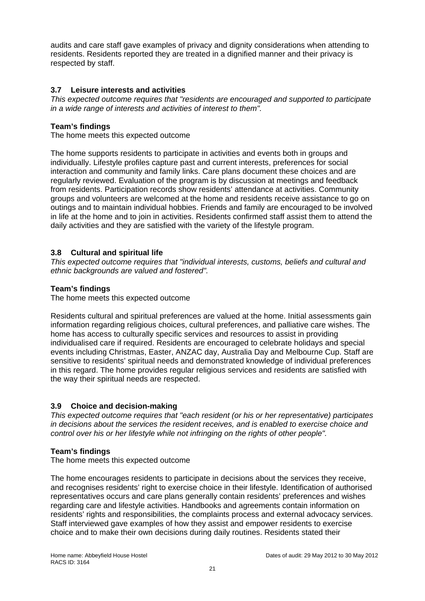audits and care staff gave examples of privacy and dignity considerations when attending to residents. Residents reported they are treated in a dignified manner and their privacy is respected by staff.

## **3.7 Leisure interests and activities**

*This expected outcome requires that "residents are encouraged and supported to participate in a wide range of interests and activities of interest to them".* 

## **Team's findings**

The home meets this expected outcome

The home supports residents to participate in activities and events both in groups and individually. Lifestyle profiles capture past and current interests, preferences for social interaction and community and family links. Care plans document these choices and are regularly reviewed. Evaluation of the program is by discussion at meetings and feedback from residents. Participation records show residents' attendance at activities. Community groups and volunteers are welcomed at the home and residents receive assistance to go on outings and to maintain individual hobbies. Friends and family are encouraged to be involved in life at the home and to join in activities. Residents confirmed staff assist them to attend the daily activities and they are satisfied with the variety of the lifestyle program.

## **3.8 Cultural and spiritual life**

*This expected outcome requires that "individual interests, customs, beliefs and cultural and ethnic backgrounds are valued and fostered".* 

## **Team's findings**

The home meets this expected outcome

Residents cultural and spiritual preferences are valued at the home. Initial assessments gain information regarding religious choices, cultural preferences, and palliative care wishes. The home has access to culturally specific services and resources to assist in providing individualised care if required. Residents are encouraged to celebrate holidays and special events including Christmas, Easter, ANZAC day, Australia Day and Melbourne Cup. Staff are sensitive to residents' spiritual needs and demonstrated knowledge of individual preferences in this regard. The home provides regular religious services and residents are satisfied with the way their spiritual needs are respected.

## **3.9 Choice and decision-making**

*This expected outcome requires that "each resident (or his or her representative) participates in decisions about the services the resident receives, and is enabled to exercise choice and control over his or her lifestyle while not infringing on the rights of other people".* 

## **Team's findings**

The home meets this expected outcome

The home encourages residents to participate in decisions about the services they receive, and recognises residents' right to exercise choice in their lifestyle. Identification of authorised representatives occurs and care plans generally contain residents' preferences and wishes regarding care and lifestyle activities. Handbooks and agreements contain information on residents' rights and responsibilities, the complaints process and external advocacy services. Staff interviewed gave examples of how they assist and empower residents to exercise choice and to make their own decisions during daily routines. Residents stated their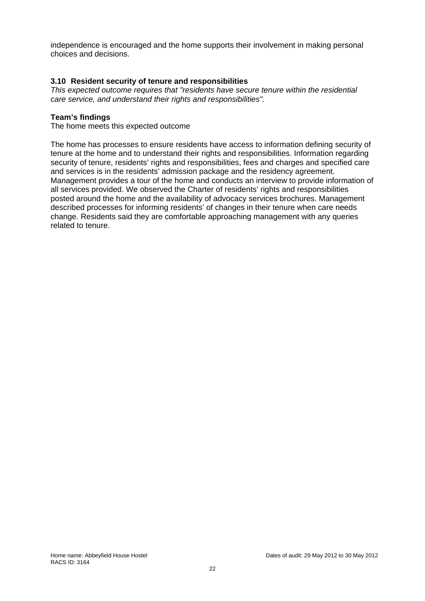independence is encouraged and the home supports their involvement in making personal choices and decisions.

#### **3.10 Resident security of tenure and responsibilities**

*This expected outcome requires that "residents have secure tenure within the residential care service, and understand their rights and responsibilities".* 

#### **Team's findings**

The home meets this expected outcome

The home has processes to ensure residents have access to information defining security of tenure at the home and to understand their rights and responsibilities. Information regarding security of tenure, residents' rights and responsibilities, fees and charges and specified care and services is in the residents' admission package and the residency agreement. Management provides a tour of the home and conducts an interview to provide information of all services provided. We observed the Charter of residents' rights and responsibilities posted around the home and the availability of advocacy services brochures. Management described processes for informing residents' of changes in their tenure when care needs change. Residents said they are comfortable approaching management with any queries related to tenure.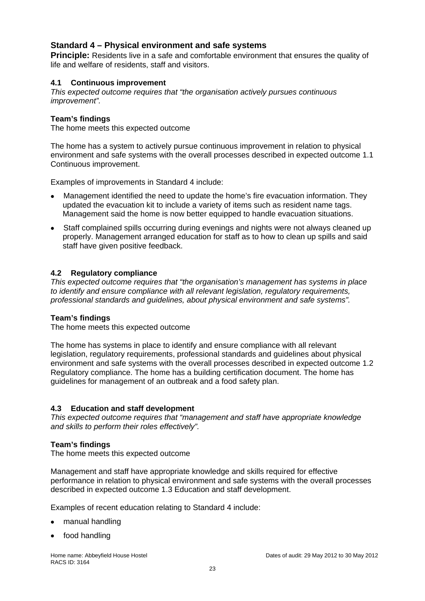## **Standard 4 – Physical environment and safe systems**

**Principle:** Residents live in a safe and comfortable environment that ensures the quality of life and welfare of residents, staff and visitors.

#### **4.1 Continuous improvement**

*This expected outcome requires that "the organisation actively pursues continuous improvement".* 

#### **Team's findings**

The home meets this expected outcome

The home has a system to actively pursue continuous improvement in relation to physical environment and safe systems with the overall processes described in expected outcome 1.1 Continuous improvement.

Examples of improvements in Standard 4 include:

- Management identified the need to update the home's fire evacuation information. They updated the evacuation kit to include a variety of items such as resident name tags. Management said the home is now better equipped to handle evacuation situations.
- Staff complained spills occurring during evenings and nights were not always cleaned up properly. Management arranged education for staff as to how to clean up spills and said staff have given positive feedback.

#### **4.2 Regulatory compliance**

*This expected outcome requires that "the organisation's management has systems in place to identify and ensure compliance with all relevant legislation, regulatory requirements, professional standards and guidelines, about physical environment and safe systems".* 

#### **Team's findings**

The home meets this expected outcome

The home has systems in place to identify and ensure compliance with all relevant legislation, regulatory requirements, professional standards and guidelines about physical environment and safe systems with the overall processes described in expected outcome 1.2 Regulatory compliance. The home has a building certification document. The home has guidelines for management of an outbreak and a food safety plan.

#### **4.3 Education and staff development**

*This expected outcome requires that "management and staff have appropriate knowledge and skills to perform their roles effectively".* 

#### **Team's findings**

The home meets this expected outcome

Management and staff have appropriate knowledge and skills required for effective performance in relation to physical environment and safe systems with the overall processes described in expected outcome 1.3 Education and staff development.

Examples of recent education relating to Standard 4 include:

- manual handling
- food handling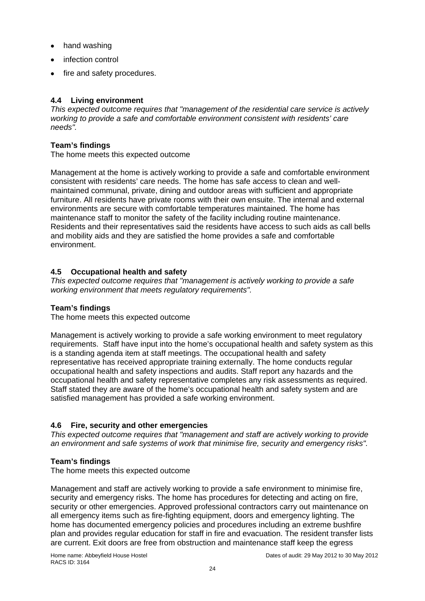- hand washing
- infection control
- fire and safety procedures.

## **4.4 Living environment**

*This expected outcome requires that "management of the residential care service is actively working to provide a safe and comfortable environment consistent with residents' care needs".* 

### **Team's findings**

The home meets this expected outcome

Management at the home is actively working to provide a safe and comfortable environment consistent with residents' care needs. The home has safe access to clean and wellmaintained communal, private, dining and outdoor areas with sufficient and appropriate furniture. All residents have private rooms with their own ensuite. The internal and external environments are secure with comfortable temperatures maintained. The home has maintenance staff to monitor the safety of the facility including routine maintenance. Residents and their representatives said the residents have access to such aids as call bells and mobility aids and they are satisfied the home provides a safe and comfortable environment.

## **4.5 Occupational health and safety**

*This expected outcome requires that "management is actively working to provide a safe working environment that meets regulatory requirements".* 

## **Team's findings**

The home meets this expected outcome

Management is actively working to provide a safe working environment to meet regulatory requirements. Staff have input into the home's occupational health and safety system as this is a standing agenda item at staff meetings. The occupational health and safety representative has received appropriate training externally. The home conducts regular occupational health and safety inspections and audits. Staff report any hazards and the occupational health and safety representative completes any risk assessments as required. Staff stated they are aware of the home's occupational health and safety system and are satisfied management has provided a safe working environment.

## **4.6 Fire, security and other emergencies**

*This expected outcome requires that "management and staff are actively working to provide an environment and safe systems of work that minimise fire, security and emergency risks".* 

## **Team's findings**

The home meets this expected outcome

Management and staff are actively working to provide a safe environment to minimise fire, security and emergency risks. The home has procedures for detecting and acting on fire, security or other emergencies. Approved professional contractors carry out maintenance on all emergency items such as fire-fighting equipment, doors and emergency lighting. The home has documented emergency policies and procedures including an extreme bushfire plan and provides regular education for staff in fire and evacuation. The resident transfer lists are current. Exit doors are free from obstruction and maintenance staff keep the egress